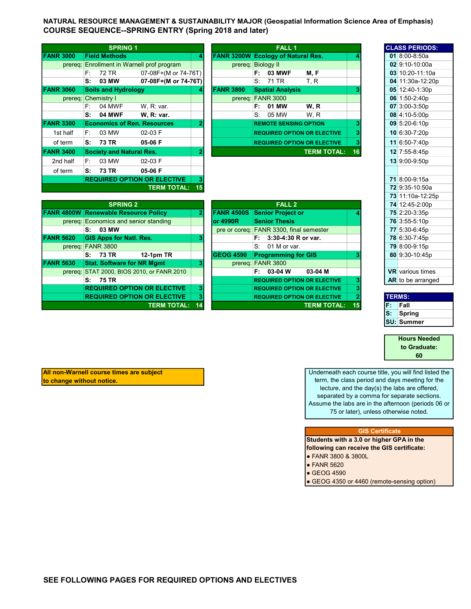NATURAL RESOURCE MANAGEMENT & SUSTAINABILITY MAJOR (Geospatial Information Science Area of Emphasis) COURSE SEQUENCE--SPRING ENTRY (Spring 2018 and later)

|                     |      | <b>SPRING 1</b>                    |                                    |    |                  | <b>FALL1</b>                              |                    |    |  | <b>CLASS PERIOD</b> |
|---------------------|------|------------------------------------|------------------------------------|----|------------------|-------------------------------------------|--------------------|----|--|---------------------|
| <b>FANR 3000</b>    |      | <b>Field Methods</b>               |                                    | 4  |                  | <b>FANR 3200W Ecology of Natural Res.</b> |                    |    |  | 01 $8:00 - 8:50a$   |
| prereq:             |      |                                    | Enrollment in Warnell prof program |    |                  | prereg: Biology II                        |                    |    |  | 02 9:10-10:00a      |
|                     | F:   | 72 TR                              | 07-08F+(M or 74-76T)               |    |                  | <b>03 MWF</b><br>F:                       | M, F               |    |  | 03 10:20-11:10      |
|                     | S:   | 03 MW                              | 07-08F+(M or 74-76T)               |    |                  | 71 TR<br>S.                               | T, R               |    |  | 04 11:30a-12:2      |
| <b>FANR 3060</b>    |      | <b>Soils and Hydrology</b>         |                                    | 4  | <b>FANR 3800</b> | <b>Spatial Analysis</b>                   |                    |    |  | 05 12:40-1:30p      |
| prereq: Chemistry I |      |                                    |                                    |    |                  | prereq: FANR 3000                         |                    |    |  | 06 $1:50-2:40p$     |
|                     | E:   | 04 MWF                             | W. R: var.                         |    |                  | 01 MW<br>F:                               | W.R                |    |  | 07 3:00-3:50p       |
|                     | s:   | <b>04 MWF</b>                      | W. R: var.                         |    |                  | 05 MW<br>S.                               | W.R                |    |  | 08 4:10-5:00p       |
| <b>FANR 3300</b>    |      | <b>Economics of Ren. Resources</b> |                                    | 2  |                  | <b>REMOTE SENSING OPTION</b>              |                    | 3  |  | 09 5:20-6:10p       |
| 1st half            | F:   | 03 MW                              | $02-03$ F                          |    |                  | <b>REQUIRED OPTION OR ELECTIVE</b>        |                    |    |  | 10 6:30-7:20p       |
| of term             |      | S: 73 TR                           | 05-06 F                            |    |                  | <b>REQUIRED OPTION OR ELECTIVE</b>        |                    | 3  |  | 11 6:50-7:40p       |
| <b>FANR 3400</b>    |      | <b>Society and Natural Res.</b>    |                                    | 2  |                  |                                           | <b>TERM TOTAL:</b> | 16 |  | 12 7:55-8:45p       |
| 2nd half            | F: I | 03 MW                              | $02-03$ F                          |    |                  |                                           |                    |    |  | 13 9:00-9:50p       |
| of term             | S:   | 73 TR                              | 05-06 F                            |    |                  |                                           |                    |    |  |                     |
|                     |      |                                    | <b>REQUIRED OPTION OR ELECTIVE</b> | 3  |                  |                                           |                    |    |  | 71 8:00-9:15a       |
|                     |      |                                    | <b>TERM TOTAL:</b>                 | 15 |                  |                                           |                    |    |  | 72 9:35-10:50a      |

|                |     | <b>SPRING 1</b>                 |                                    |   |                                           |                   | <b>FALL 1</b>                |                                    |    |  | <b>CLASS PERIODS:</b> |
|----------------|-----|---------------------------------|------------------------------------|---|-------------------------------------------|-------------------|------------------------------|------------------------------------|----|--|-----------------------|
| <b>NR 3000</b> |     | <b>Field Methods</b>            |                                    | 4 | <b>FANR 3200W Ecology of Natural Res.</b> |                   |                              |                                    |    |  | 01 8:00-8:50a         |
| prereq:        |     |                                 | Enrollment in Warnell prof program |   | prereq:                                   | <b>Biology II</b> |                              |                                    |    |  | 02 9:10-10:00a        |
|                | F:  | 72 TR                           | 07-08F+(M or 74-76T)               |   |                                           | F: I              | <b>03 MWF</b>                | M, F                               |    |  | 03 10:20-11:10a       |
|                | S:  | 03 MW                           | 07-08F+(M or 74-76T)               |   |                                           | S: 71 TR          |                              | T.R                                |    |  | 04 11:30a-12:20p      |
| <b>NR 3060</b> |     | <b>Soils and Hydrology</b>      |                                    | 4 | <b>FANR 3800</b>                          |                   | <b>Spatial Analysis</b>      |                                    |    |  | 05 12:40-1:30p        |
| prereq:        |     | <b>Chemistry I</b>              |                                    |   | prereq:                                   | <b>FANR 3000</b>  |                              |                                    |    |  | $06$   1:50-2:40p     |
|                | F:  | 04 MWF                          | W, R: var.                         |   |                                           | F: .              | 01 MW                        | W, R                               |    |  | 07 3:00-3:50p         |
|                | ۱S: | <b>04 MWF</b>                   | <b>W. R: var.</b>                  |   |                                           | S.                | 05 MW                        | W.R                                |    |  | 08 4:10-5:00p         |
| <b>NR 3300</b> |     |                                 | <b>Economics of Ren. Resources</b> | 2 |                                           |                   | <b>REMOTE SENSING OPTION</b> |                                    |    |  | 09 5:20-6:10p         |
| 1st half       | F:  | 03 MW                           | 02-03 F                            |   |                                           |                   |                              | <b>REQUIRED OPTION OR ELECTIVE</b> |    |  | 10 6:30-7:20p         |
| of term        | S:  | 73 TR                           | 05-06 F                            |   |                                           |                   |                              | <b>REQUIRED OPTION OR ELECTIVE</b> | з  |  | 11 6:50-7:40p         |
| <b>NR 3400</b> |     | <b>Society and Natural Res.</b> |                                    | 2 |                                           |                   |                              | <b>TERM TOTAL:</b>                 | 16 |  | 12 7:55-8:45p         |
| 2nd half       | F.  | 03 MW                           | 02-03 F                            |   |                                           |                   |                              |                                    |    |  | 13 9:00-9:50p         |
| of term        | c.  | 73 TD                           | <b>OR OG E</b>                     |   |                                           |                   |                              |                                    |    |  |                       |

|                  |                                             |    |                   |                                         |    | 19 11.10a-14.         |
|------------------|---------------------------------------------|----|-------------------|-----------------------------------------|----|-----------------------|
|                  | <b>SPRING 2</b>                             |    |                   | <b>FALL 2</b>                           |    | 74 12:45-2:00         |
|                  | <b>FANR 4800W Renewable Resource Policy</b> |    | <b>FANR 4500S</b> | <b>Senior Project or</b>                |    | 75 2:20-3:35p         |
|                  | prereg: Economics and senior standing       |    | lor 4990R         | <b>Senior Thesis</b>                    |    | 76 3:55-5:10p         |
|                  | 03 MW<br>s:                                 |    |                   | pre or coreg: FANR 3300, final semester |    | 77 5:30-6:45p         |
| <b>FANR 5620</b> | <b>GIS Apps for Natl. Res.</b>              | 3  |                   | $F: 3:30-4:30 R$ or var.                |    | 78 6:30-7:45p         |
|                  | prereq: FANR 3800                           |    |                   | $S: 01$ M or var.                       |    | 79 8:00-9:15p         |
|                  | <b>12-1pm TR</b><br>73 TR<br>S:             |    | <b>GEOG 4590</b>  | <b>Programming for GIS</b>              |    | 80 9:30-10:45         |
| <b>FANR 5630</b> | <b>Stat. Software for NR Mgmt</b>           | 3  |                   | prereq: FANR 3800                       |    |                       |
|                  | prereq: STAT 2000, BIOS 2010, or FANR 2010  |    |                   | $F: 03-04 W$<br>03-04 M                 |    | <b>VR</b> various tim |
|                  | 75 TR<br>S:                                 |    |                   | <b>REQUIRED OPTION OR ELECTIVE</b>      |    | <b>AR</b> to be arran |
|                  | <b>REQUIRED OPTION OR ELECTIVE</b>          | 3  |                   | <b>REQUIRED OPTION OR ELECTIVE</b>      |    |                       |
|                  | <b>REQUIRED OPTION OR ELECTIVE</b>          | 3  |                   | <b>REQUIRED OPTION OR ELECTIVE</b>      |    | <b>TERMS:</b>         |
|                  | <b>TERM TOTAL:</b>                          | 14 |                   | <b>TERM TOTAL:</b>                      | F. | Fall                  |

|      |                                            |    |                   |                                         |    |    | $1911.100 - 12.200$     |
|------|--------------------------------------------|----|-------------------|-----------------------------------------|----|----|-------------------------|
|      | <b>SPRING 2</b>                            |    |                   | <b>FALL 2</b>                           |    |    | 74 12:45-2:00p          |
|      | 4800W Renewable Resource Policy            |    | <b>FANR 4500S</b> | <b>Senior Project or</b>                |    |    | 75 2:20-3:35p           |
|      | prereg: Economics and senior standing      |    | lor 4990R         | <b>Senior Thesis</b>                    |    |    | 76 3:55-5:10p           |
|      | 03 MW<br>s:                                |    |                   | pre or coreq: FANR 3300, final semester |    |    | 77 5:30-6:45p           |
| 5620 | <b>GIS Apps for Natl. Res.</b>             |    |                   | $3:30-4:30$ R or var.<br>F:             |    |    | 78 6:30-7:45p           |
|      | prereq: FANR 3800                          |    |                   | S.<br>01 M or var.                      |    |    | 79 8:00-9:15p           |
|      | <b>12-1pm TR</b><br>73 TR<br>s:            |    | <b>GEOG 4590</b>  | <b>Programming for GIS</b>              |    |    | 80 9:30-10:45p          |
| 5630 | <b>Stat. Software for NR Mgmt</b>          |    |                   | prereq: FANR 3800                       |    |    |                         |
|      | prereq: STAT 2000, BIOS 2010, or FANR 2010 |    |                   | 03-04 M<br>03-04 W<br>F: I              |    |    | <b>VR</b> various times |
|      | <b>75 TR</b><br>s:                         |    |                   | <b>REQUIRED OPTION OR ELECTIVE</b>      |    |    | AR to be arranged       |
|      | <b>REQUIRED OPTION OR ELECTIVE</b>         |    |                   | <b>REQUIRED OPTION OR ELECTIVE</b>      |    |    |                         |
|      | <b>REQUIRED OPTION OR ELECTIVE</b>         |    |                   | <b>REQUIRED OPTION OR ELECTIVE</b>      |    |    | <b>TERMS:</b>           |
|      | <b>TERM TOTAL:</b>                         | 14 |                   | <b>TERM TOTAL:</b>                      | 15 | F. | Fall                    |

| <b>CLASS PERIODS:</b>                        |
|----------------------------------------------|
| 01 8:00-8:50a                                |
| 02 9:10-10:00a                               |
| 03 10:20-11:10a                              |
| 04 11:30a-12:20p                             |
| 05 12:40-1:30p                               |
| 06 1:50-2:40p                                |
| 07 3:00-3:50p                                |
| 08 4:10-5:00p                                |
| $09$ 5:20-6:10p                              |
| 10 6:30-7:20p                                |
| 11 6:50-7:40p                                |
| 12 7:55-8:45p                                |
| 13 9:00-9:50p                                |
|                                              |
| 71 8:00-9:15a                                |
| 72 9:35-10:50a                               |
| 73 11:10a-12:25p                             |
| 74 12:45-2:00p                               |
| 75 2:20-3:35p                                |
| 76 3:55-5:10p                                |
| 77 5:30-6:45p                                |
| 78 6:30-7:45p                                |
| 79 8:00-9:15p                                |
| 80 9:30-10:45p                               |
|                                              |
|                                              |
| <b>VR</b> various times<br>AR to be arranged |

| <b>TERMS:</b> |  |  |  |  |  |  |  |  |
|---------------|--|--|--|--|--|--|--|--|
| Fall          |  |  |  |  |  |  |  |  |
| Spring        |  |  |  |  |  |  |  |  |
| SU: Summer    |  |  |  |  |  |  |  |  |

to Graduate: Hours Needed 60

All non-Warnell course times are subject to change without notice.

Underneath each course title, you will find listed the term, the class period and days meeting for the lecture, and the day(s) the labs are offered, separated by a comma for separate sections. Assume the labs are in the afternoon (periods 06 or 75 or later), unless otherwise noted.

## GIS Certificate

Students with a 3.0 or higher GPA in the following can receive the GIS certificate:

- FANR 3800 & 3800L
- **FANR 5620**
- GEOG 4590

• GEOG 4350 or 4460 (remote-sensing option)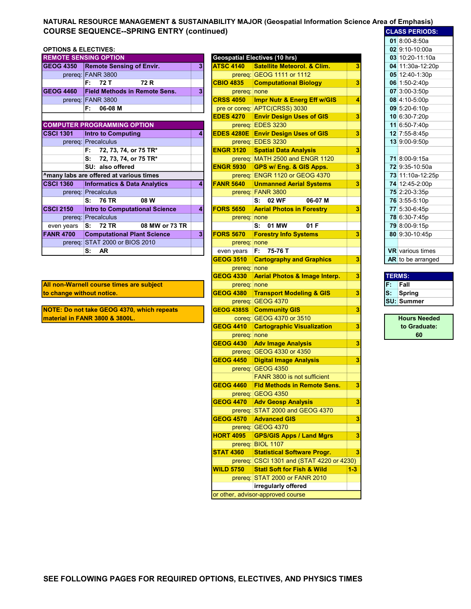## NATURAL RESOURCE MANAGEMENT & SUSTAINABILITY MAJOR (Geospatial Information Science Area of Emphasis) COURSE SEQUENCE--SPRING ENTRY (continued) COURSE SEQUENCE-SPRING ENTRY (continued)

## **OPTIONS & ELECTIVES:**

|                  | <b>REMOTE SENSING OPTION</b>            |                |                   | <b>Geospatial Electives (10 hrs)</b>   |   | 03 10:20-11:10a         |
|------------------|-----------------------------------------|----------------|-------------------|----------------------------------------|---|-------------------------|
| <b>GEOG 4350</b> | <b>Remote Sensing of Envir.</b>         | 31             | <b>ATSC 4140</b>  | <b>Satellite Meteorol. &amp; Clim.</b> |   | 04 11:30a-12:20p        |
|                  | prereq: FANR 3800                       |                |                   | prereq: $GEOG$ 1111 or 1112            |   | 05 12:40-1:30p          |
|                  | 72 T<br>72 R<br>F: I                    |                | <b>CBIO 4835</b>  | <b>Computational Biology</b>           |   | 06 1:50-2:40p           |
| <b>GEOG 4460</b> | <b>Field Methods in Remote Sens.</b>    | 3              | prereq: none      |                                        |   | 07 3:00-3:50p           |
|                  | prereq: FANR 3800                       |                | <b>CRSS 4050</b>  | Impr Nutr & Energ Eff w/GIS            |   | 08 4:10-5:00p           |
|                  | 06-08 M<br>F:                           |                |                   | pre or coreq: APTC(CRSS) 3030          |   | 09 5:20-6:10p           |
|                  |                                         |                | <b>EDES 4270</b>  | <b>Envir Design Uses of GIS</b>        |   | 10 6:30-7:20p           |
|                  | <b>COMPUTER PROGRAMMING OPTION</b>      |                |                   | prereq: EDES 3230                      |   | 11 6:50-7:40p           |
| <b>CSCI 1301</b> | <b>Intro to Computing</b>               | 4              | <b>EDES 4280E</b> | <b>Envir Design Uses of GIS</b>        |   | 12 7:55-8:45p           |
|                  | prereq: Precalculus                     |                |                   | prereq: EDES 3230                      |   | 13 9:00-9:50p           |
|                  | 72, 73, 74, or 75 TR*<br>F:             |                | <b>ENGR 3120</b>  | <b>Spatial Data Analysis</b>           |   |                         |
|                  | S:<br>72, 73, 74, or 75 TR*             |                |                   | prereg: MATH 2500 and ENGR 1120        |   | 71 8:00-9:15a           |
|                  | SU: also offered                        |                | <b>ENGR 5930</b>  | GPS w/ Eng. & GIS Apps.                |   | 72 9:35-10:50a          |
|                  | Amany labs are offered at various times |                |                   | prereq: ENGR 1120 or GEOG 4370         |   | 73 11:10a-12:25p        |
| <b>CSCI 1360</b> | <b>Informatics &amp; Data Analytics</b> | 4              | <b>FANR 5640</b>  | <b>Unmanned Aerial Systems</b>         |   | 74 12:45-2:00p          |
|                  | prereq: Precalculus                     |                |                   | prereq: FANR 3800                      |   | 75 2:20-3:35p           |
|                  | S: 76 TR<br>08 W                        |                |                   | 06-07 M<br>S: 02 WF                    |   | 76 3:55-5:10p           |
| <b>CSCI 2150</b> | <b>Intro to Computational Science</b>   | 41             | <b>FORS 5650</b>  | <b>Aerial Photos in Forestry</b>       | 3 | 77 5:30-6:45p           |
|                  | prereq: Precalculus                     |                | prereq: none      |                                        |   | 78 6:30-7:45p           |
| even years       | <b>72 TR</b><br>08 MW or 73 TR<br>S:    |                |                   | 01 F<br>S: 01 MW                       |   | 79 8:00-9:15p           |
| <b>FANR 4700</b> | <b>Computational Plant Science</b>      | 3 <sup>1</sup> | <b>FORS 5670</b>  | <b>Forestry Info Systems</b>           |   | 80 9:30-10:45p          |
|                  | prereq: STAT 2000 or BIOS 2010          |                | prereq: none      |                                        |   |                         |
|                  | <b>AR</b><br>S:                         |                | even years        | $F: 75-76T$                            |   | <b>VR</b> various times |
|                  |                                         |                |                   |                                        |   |                         |

All non-Warnell course times are subject to change without notice.

NOTE: Do not take GEOG 4370, which repeats material in FANR 3800 & 3800L.

|       | <b>TE SENSING OPTION</b>                |   |                   | <b>Geospatial Electives (10 hrs)</b>       |       |    | 03 10:20-11:10a         |
|-------|-----------------------------------------|---|-------------------|--------------------------------------------|-------|----|-------------------------|
| 4350  | <b>Remote Sensing of Envir.</b>         | 3 | <b>ATSC 4140</b>  | <b>Satellite Meteorol. &amp; Clim.</b>     | 3     |    | 04 11:30a-12:20p        |
|       | prereg: FANR 3800                       |   |                   | prereq: GEOG 1111 or 1112                  |       |    | 05 12:40-1:30p          |
|       | 72 R<br>F:<br>72 T                      |   | <b>CBIO 4835</b>  | <b>Computational Biology</b>               | 3     |    | 06 1:50-2:40p           |
| 4460  | <b>Field Methods in Remote Sens.</b>    | 3 | prereq: none      |                                            |       |    | 07 3:00-3:50p           |
|       | prereq: FANR 3800                       |   | <b>CRSS 4050</b>  | Impr Nutr & Energ Eff w/GIS                | 4     |    | 08 4:10-5:00p           |
|       | F:<br>06-08 M                           |   |                   | pre or coreq: APTC(CRSS) 3030              |       |    | 09 5:20-6:10p           |
|       |                                         |   | <b>EDES 4270</b>  | <b>Envir Design Uses of GIS</b>            | 3     |    | 10 6:30-7:20p           |
|       | <b>UTER PROGRAMMING OPTION</b>          |   |                   | prereq: EDES 3230                          |       |    | 11 6:50-7:40p           |
| 301   | <b>Intro to Computing</b>               | 4 |                   | <b>EDES 4280E Envir Design Uses of GIS</b> | 3     |    | 12 7:55-8:45p           |
|       | prereq: Precalculus                     |   |                   | prereq: EDES 3230                          |       |    | 13 9:00-9:50p           |
|       | 72, 73, 74, or 75 TR*<br>F:             |   | <b>ENGR 3120</b>  | <b>Spatial Data Analysis</b>               | 3     |    |                         |
|       | s:<br>72, 73, 74, or 75 TR*             |   |                   | prereq: MATH 2500 and ENGR 1120            |       |    | 71 8:00-9:15a           |
|       | SU: also offered                        |   | <b>ENGR 5930</b>  | GPS w/ Eng. & GIS Apps.                    | 3     |    | 72 9:35-10:50a          |
|       | labs are offered at various times       |   |                   | prereq: ENGR 1120 or GEOG 4370             |       |    | 73 11:10a-12:25p        |
| 360   | <b>Informatics &amp; Data Analytics</b> | 4 | <b>FANR 5640</b>  | <b>Unmanned Aerial Systems</b>             | 3     |    | 74 12:45-2:00p          |
|       | prereq: Precalculus                     |   |                   | prereq: FANR 3800                          |       |    | 75 2:20-3:35p           |
|       | 08 W<br>s:<br>76 TR                     |   |                   | S: 02 WF<br>06-07 M                        |       |    | 76 3:55-5:10p           |
| 150   | <b>Intro to Computational Science</b>   | 4 | <b>FORS 5650</b>  | <b>Aerial Photos in Forestry</b>           | 3     |    | 77 5:30-6:45p           |
|       | prereq: Precalculus                     |   | prereq: none      |                                            |       |    | 78 6:30-7:45p           |
| years | s:<br>72 TR<br>08 MW or 73 TR           |   |                   | S: 01 MW<br>01 F                           |       |    | 79 8:00-9:15p           |
| 1700  | <b>Computational Plant Science</b>      | 3 | <b>FORS 5670</b>  | <b>Forestry Info Systems</b>               | 3     |    | 80 9:30-10:45p          |
|       | prereq: STAT 2000 or BIOS 2010          |   | prereq: none      |                                            |       |    |                         |
|       | AR<br>S:                                |   | even years        | F: 75-76 T                                 |       |    | <b>VR</b> various times |
|       |                                         |   | <b>GEOG 3510</b>  | <b>Cartography and Graphics</b>            | 3     |    | AR to be arranged       |
|       |                                         |   | prereq: none      |                                            |       |    |                         |
|       |                                         |   | <b>GEOG 4330</b>  | <b>Aerial Photos &amp; Image Interp.</b>   | 3     |    | <b>TERMS:</b>           |
|       | <b>Warnell course times are subject</b> |   | prereq: none      |                                            |       | F. | Fall                    |
|       | nge without notice.                     |   | <b>GEOG 4380</b>  | <b>Transport Modeling &amp; GIS</b>        | 3     | S: | <b>Spring</b>           |
|       |                                         |   |                   | prereq: GEOG 4370                          |       |    | <b>SU: Summer</b>       |
|       | Do not take GEOG 4370, which repeats    |   | <b>GEOG 4385S</b> | <b>Community GIS</b>                       | 3     |    |                         |
|       | al in FANR 3800 & 3800L.                |   |                   | coreq: GEOG 4370 or 3510                   |       |    | <b>Hours Needed</b>     |
|       |                                         |   | <b>GEOG 4410</b>  | <b>Cartographic Visualization</b>          | 3     |    | to Graduate:            |
|       |                                         |   | prereq: none      |                                            |       |    | 60                      |
|       |                                         |   | <b>GEOG 4430</b>  | <b>Adv Image Analysis</b>                  | 3     |    |                         |
|       |                                         |   |                   | prereq: GEOG 4330 or 4350                  |       |    |                         |
|       |                                         |   | <b>GEOG 4450</b>  | <b>Digital Image Analysis</b>              | 3     |    |                         |
|       |                                         |   |                   | prereq: GEOG 4350                          |       |    |                         |
|       |                                         |   |                   | FANR 3800 is not sufficient                |       |    |                         |
|       |                                         |   | <b>GEOG 4460</b>  | <b>Fld Methods in Remote Sens.</b>         | 3     |    |                         |
|       |                                         |   |                   | prereq: GEOG 4350                          |       |    |                         |
|       |                                         |   | <b>GEOG 4470</b>  | <b>Adv Geosp Analysis</b>                  | 3     |    |                         |
|       |                                         |   |                   | prereq: STAT 2000 and GEOG 4370            |       |    |                         |
|       |                                         |   | <b>GEOG 4570</b>  | <b>Advanced GIS</b>                        | 3     |    |                         |
|       |                                         |   |                   | prereq: GEOG 4370                          |       |    |                         |
|       |                                         |   | <b>HORT 4095</b>  | <b>GPS/GIS Apps / Land Mgrs</b>            | 3     |    |                         |
|       |                                         |   |                   | prereq: BIOL 1107                          |       |    |                         |
|       |                                         |   | <b>STAT 4360</b>  | <b>Statistical Software Progr.</b>         | 3     |    |                         |
|       |                                         |   |                   | prereq: CSCI 1301 and (STAT 4220 or 4230)  |       |    |                         |
|       |                                         |   | <b>WILD 5750</b>  | <b>Statl Soft for Fish &amp; Wild</b>      | $1-3$ |    |                         |
|       |                                         |   |                   | prereq: STAT 2000 or FANR 2010             |       |    |                         |
|       |                                         |   |                   | irregularly offered                        |       |    |                         |
|       |                                         |   |                   | or other, advisor-approved course          |       |    |                         |
|       |                                         |   |                   |                                            |       |    |                         |

|               | <u>JLAJJ FENIUDJ.</u>    |
|---------------|--------------------------|
|               | $018:00 - 8:50a$         |
|               | 02 9:10-10:00a           |
|               | 03 10:20-11:10a          |
|               | 04 11:30a-12:20p         |
|               | 05 12:40-1:30p           |
|               | 06 1:50-2:40p            |
| 07            | 3:00-3:50p               |
| 08            | 4:10-5:00p               |
|               | 09 5:20-6:10p            |
|               | 10 6:30-7:20p            |
| 11            | 6:50-7:40p               |
| 12            | 7:55-8:45p               |
| 13            | $9:00-9:50p$             |
|               |                          |
| 71            | 8:00-9:15a               |
|               | 72 9:35-10:50a           |
|               | 73 11:10a-12:25p         |
| 74            | 12:45-2:00p              |
| 75            | 2:20-3:35p               |
|               | 76 3:55-5:10p            |
|               | 77 5:30-6:45p            |
| 78            | 6:30-7:45p               |
|               | 79 8:00-9:15p            |
| 80            | 9:30-10:45p              |
|               |                          |
|               | <b>VR</b> various times  |
|               | <b>AR</b> to be arranged |
|               |                          |
| <b>TERMS:</b> |                          |

|    | I ERMƏ.    |
|----|------------|
| ٥. | Fall       |
| ś. | Spring     |
|    | SU: Summer |
|    |            |

Hours Needed to Graduate: 60